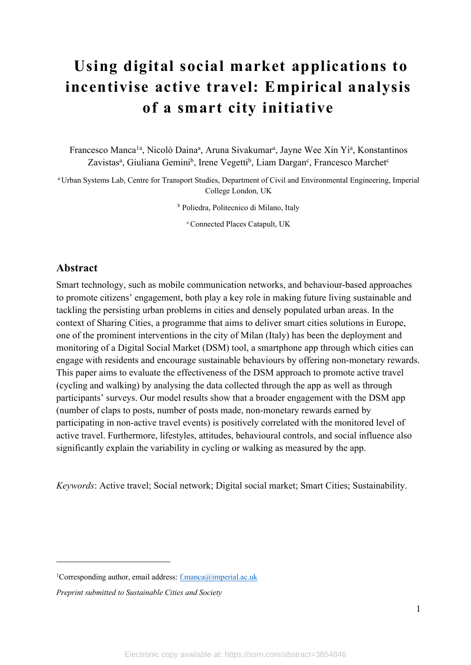# **Using digital social market applications to incentivise active travel: Empirical analysis of a smart city initiative**

Francesco Manca<sup>1a</sup>, Nicolò Daina<sup>a</sup>, Aruna Sivakumar<sup>a</sup>, Jayne Wee Xin Yi<sup>a</sup>, Konstantinos Zavistas<sup>a</sup>, Giuliana Gemini<sup>b</sup>, Irene Vegetti<sup>b</sup>, Liam Dargan<sup>c</sup>, Francesco Marchet<sup>c</sup>

<sup>a</sup> Urban Systems Lab, Centre for Transport Studies, Department of Civil and Environmental Engineering, Imperial College London, UK

<sup>b</sup> Poliedra, Politecnico di Milano, Italy

<sup>c</sup> Connected Places Catapult, UK

## **Abstract**

Smart technology, such as mobile communication networks, and behaviour-based approaches to promote citizens' engagement, both play a key role in making future living sustainable and tackling the persisting urban problems in cities and densely populated urban areas. In the context of Sharing Cities, a programme that aims to deliver smart cities solutions in Europe, one of the prominent interventions in the city of Milan (Italy) has been the deployment and monitoring of a Digital Social Market (DSM) tool, a smartphone app through which cities can engage with residents and encourage sustainable behaviours by offering non-monetary rewards. This paper aims to evaluate the effectiveness of the DSM approach to promote active travel (cycling and walking) by analysing the data collected through the app as well as through participants' surveys. Our model results show that a broader engagement with the DSM app (number of claps to posts, number of posts made, non-monetary rewards earned by participating in non-active travel events) is positively correlated with the monitored level of active travel. Furthermore, lifestyles, attitudes, behavioural controls, and social influence also significantly explain the variability in cycling or walking as measured by the app.

*Keywords*: Active travel; Social network; Digital social market; Smart Cities; Sustainability.

<sup>&</sup>lt;sup>1</sup>Corresponding author, email address: f.manca@imperial.ac.uk

*Preprint submitted to Sustainable Cities and Society*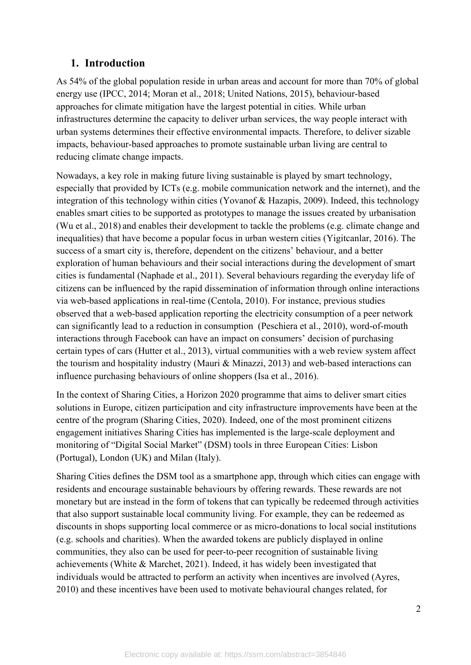## **1. Introduction**

As 54% of the global population reside in urban areas and account for more than 70% of global energy use (IPCC, 2014; Moran et al., 2018; United Nations, 2015), behaviour-based approaches for climate mitigation have the largest potential in cities. While urban infrastructures determine the capacity to deliver urban services, the way people interact with urban systems determines their effective environmental impacts. Therefore, to deliver sizable impacts, behaviour-based approaches to promote sustainable urban living are central to reducing climate change impacts.

Nowadays, a key role in making future living sustainable is played by smart technology, especially that provided by ICTs (e.g. mobile communication network and the internet), and the integration of this technology within cities (Yovanof & Hazapis, 2009). Indeed, this technology enables smart cities to be supported as prototypes to manage the issues created by urbanisation (Wu et al., 2018) and enables their development to tackle the problems (e.g. climate change and inequalities) that have become a popular focus in urban western cities (Yigitcanlar, 2016). The success of a smart city is, therefore, dependent on the citizens' behaviour, and a better exploration of human behaviours and their social interactions during the development of smart cities is fundamental (Naphade et al., 2011). Several behaviours regarding the everyday life of citizens can be influenced by the rapid dissemination of information through online interactions via web-based applications in real-time (Centola, 2010). For instance, previous studies observed that a web-based application reporting the electricity consumption of a peer network can significantly lead to a reduction in consumption (Peschiera et al., 2010), word-of-mouth interactions through Facebook can have an impact on consumers' decision of purchasing certain types of cars (Hutter et al., 2013), virtual communities with a web review system affect the tourism and hospitality industry (Mauri & Minazzi, 2013) and web-based interactions can influence purchasing behaviours of online shoppers (Isa et al., 2016).

In the context of Sharing Cities, a Horizon 2020 programme that aims to deliver smart cities solutions in Europe, citizen participation and city infrastructure improvements have been at the centre of the program (Sharing Cities, 2020). Indeed, one of the most prominent citizens engagement initiatives Sharing Cities has implemented is the large-scale deployment and monitoring of "Digital Social Market" (DSM) tools in three European Cities: Lisbon (Portugal), London (UK) and Milan (Italy).

Sharing Cities defines the DSM tool as a smartphone app, through which cities can engage with residents and encourage sustainable behaviours by offering rewards. These rewards are not monetary but are instead in the form of tokens that can typically be redeemed through activities that also support sustainable local community living. For example, they can be redeemed as discounts in shops supporting local commerce or as micro-donations to local social institutions (e.g. schools and charities). When the awarded tokens are publicly displayed in online communities, they also can be used for peer-to-peer recognition of sustainable living achievements (White & Marchet, 2021). Indeed, it has widely been investigated that individuals would be attracted to perform an activity when incentives are involved (Ayres, 2010) and these incentives have been used to motivate behavioural changes related, for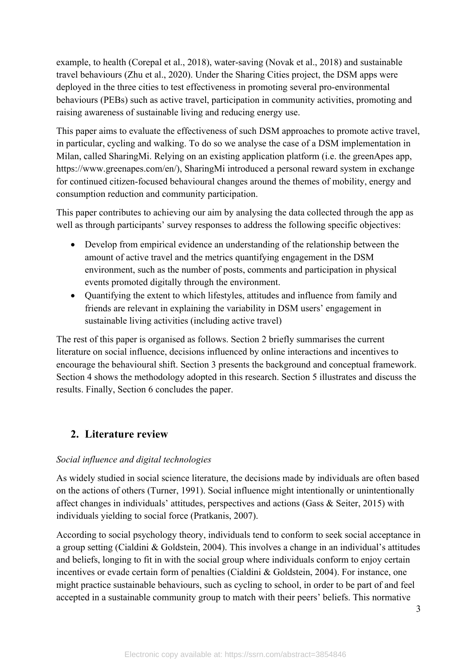example, to health (Corepal et al., 2018), water-saving (Novak et al., 2018) and sustainable travel behaviours (Zhu et al., 2020). Under the Sharing Cities project, the DSM apps were deployed in the three cities to test effectiveness in promoting several pro-environmental behaviours (PEBs) such as active travel, participation in community activities, promoting and raising awareness of sustainable living and reducing energy use.

This paper aims to evaluate the effectiveness of such DSM approaches to promote active travel, in particular, cycling and walking. To do so we analyse the case of a DSM implementation in Milan, called SharingMi. Relying on an existing application platform (i.e. the greenApes app, https://www.greenapes.com/en/), SharingMi introduced a personal reward system in exchange for continued citizen-focused behavioural changes around the themes of mobility, energy and consumption reduction and community participation.

This paper contributes to achieving our aim by analysing the data collected through the app as well as through participants' survey responses to address the following specific objectives:

- Develop from empirical evidence an understanding of the relationship between the amount of active travel and the metrics quantifying engagement in the DSM environment, such as the number of posts, comments and participation in physical events promoted digitally through the environment.
- Quantifying the extent to which lifestyles, attitudes and influence from family and friends are relevant in explaining the variability in DSM users' engagement in sustainable living activities (including active travel)

The rest of this paper is organised as follows. Section 2 briefly summarises the current literature on social influence, decisions influenced by online interactions and incentives to encourage the behavioural shift. Section 3 presents the background and conceptual framework. Section 4 shows the methodology adopted in this research. Section 5 illustrates and discuss the results. Finally, Section 6 concludes the paper.

# **2. Literature review**

## *Social influence and digital technologies*

As widely studied in social science literature, the decisions made by individuals are often based on the actions of others (Turner, 1991). Social influence might intentionally or unintentionally affect changes in individuals' attitudes, perspectives and actions (Gass & Seiter, 2015) with individuals yielding to social force (Pratkanis, 2007).

According to social psychology theory, individuals tend to conform to seek social acceptance in a group setting (Cialdini & Goldstein, 2004). This involves a change in an individual's attitudes and beliefs, longing to fit in with the social group where individuals conform to enjoy certain incentives or evade certain form of penalties (Cialdini & Goldstein, 2004). For instance, one might practice sustainable behaviours, such as cycling to school, in order to be part of and feel accepted in a sustainable community group to match with their peers' beliefs. This normative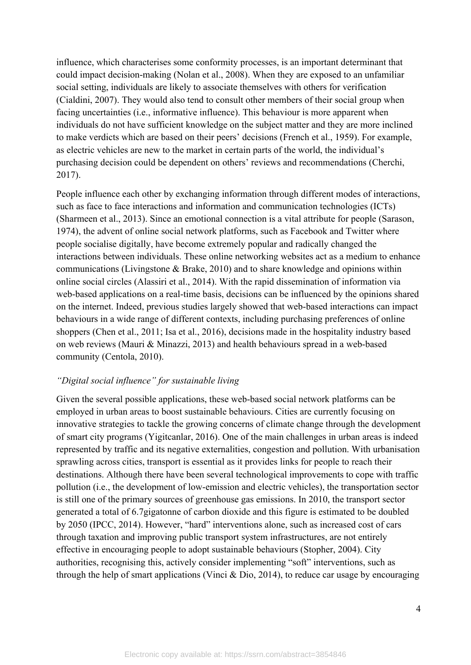influence, which characterises some conformity processes, is an important determinant that could impact decision-making (Nolan et al., 2008). When they are exposed to an unfamiliar social setting, individuals are likely to associate themselves with others for verification (Cialdini, 2007). They would also tend to consult other members of their social group when facing uncertainties (i.e., informative influence). This behaviour is more apparent when individuals do not have sufficient knowledge on the subject matter and they are more inclined to make verdicts which are based on their peers' decisions (French et al., 1959). For example, as electric vehicles are new to the market in certain parts of the world, the individual's purchasing decision could be dependent on others' reviews and recommendations (Cherchi, 2017).

People influence each other by exchanging information through different modes of interactions, such as face to face interactions and information and communication technologies (ICTs) (Sharmeen et al., 2013). Since an emotional connection is a vital attribute for people (Sarason, 1974), the advent of online social network platforms, such as Facebook and Twitter where people socialise digitally, have become extremely popular and radically changed the interactions between individuals. These online networking websites act as a medium to enhance communications (Livingstone & Brake, 2010) and to share knowledge and opinions within online social circles (Alassiri et al., 2014). With the rapid dissemination of information via web-based applications on a real-time basis, decisions can be influenced by the opinions shared on the internet. Indeed, previous studies largely showed that web-based interactions can impact behaviours in a wide range of different contexts, including purchasing preferences of online shoppers (Chen et al., 2011; Isa et al., 2016), decisions made in the hospitality industry based on web reviews (Mauri & Minazzi, 2013) and health behaviours spread in a web-based community (Centola, 2010).

#### *"Digital social influence" for sustainable living*

Given the several possible applications, these web-based social network platforms can be employed in urban areas to boost sustainable behaviours. Cities are currently focusing on innovative strategies to tackle the growing concerns of climate change through the development of smart city programs (Yigitcanlar, 2016). One of the main challenges in urban areas is indeed represented by traffic and its negative externalities, congestion and pollution. With urbanisation sprawling across cities, transport is essential as it provides links for people to reach their destinations. Although there have been several technological improvements to cope with traffic pollution (i.e., the development of low-emission and electric vehicles), the transportation sector is still one of the primary sources of greenhouse gas emissions. In 2010, the transport sector generated a total of 6.7gigatonne of carbon dioxide and this figure is estimated to be doubled by 2050 (IPCC, 2014). However, "hard" interventions alone, such as increased cost of cars through taxation and improving public transport system infrastructures, are not entirely effective in encouraging people to adopt sustainable behaviours (Stopher, 2004). City authorities, recognising this, actively consider implementing "soft" interventions, such as through the help of smart applications (Vinci  $\&$  Dio, 2014), to reduce car usage by encouraging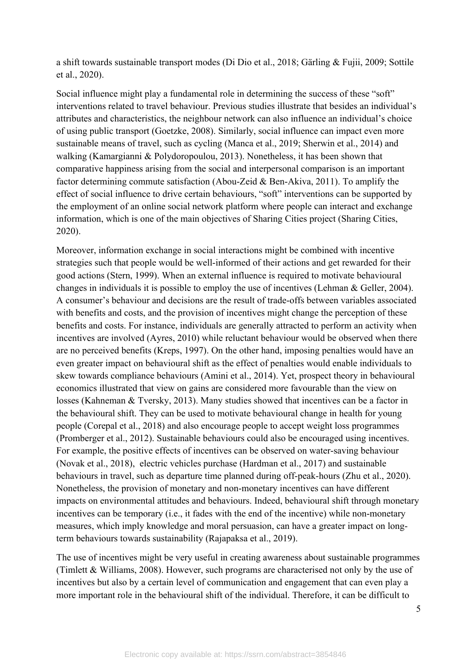a shift towards sustainable transport modes (Di Dio et al., 2018; Gärling & Fujii, 2009; Sottile et al., 2020).

Social influence might play a fundamental role in determining the success of these "soft" interventions related to travel behaviour. Previous studies illustrate that besides an individual's attributes and characteristics, the neighbour network can also influence an individual's choice of using public transport (Goetzke, 2008). Similarly, social influence can impact even more sustainable means of travel, such as cycling (Manca et al., 2019; Sherwin et al., 2014) and walking (Kamargianni & Polydoropoulou, 2013). Nonetheless, it has been shown that comparative happiness arising from the social and interpersonal comparison is an important factor determining commute satisfaction (Abou-Zeid & Ben-Akiva, 2011). To amplify the effect of social influence to drive certain behaviours, "soft" interventions can be supported by the employment of an online social network platform where people can interact and exchange information, which is one of the main objectives of Sharing Cities project (Sharing Cities, 2020).

Moreover, information exchange in social interactions might be combined with incentive strategies such that people would be well-informed of their actions and get rewarded for their good actions (Stern, 1999). When an external influence is required to motivate behavioural changes in individuals it is possible to employ the use of incentives (Lehman & Geller, 2004). A consumer's behaviour and decisions are the result of trade-offs between variables associated with benefits and costs, and the provision of incentives might change the perception of these benefits and costs. For instance, individuals are generally attracted to perform an activity when incentives are involved (Ayres, 2010) while reluctant behaviour would be observed when there are no perceived benefits (Kreps, 1997). On the other hand, imposing penalties would have an even greater impact on behavioural shift as the effect of penalties would enable individuals to skew towards compliance behaviours (Amini et al., 2014). Yet, prospect theory in behavioural economics illustrated that view on gains are considered more favourable than the view on losses (Kahneman & Tversky, 2013). Many studies showed that incentives can be a factor in the behavioural shift. They can be used to motivate behavioural change in health for young people (Corepal et al., 2018) and also encourage people to accept weight loss programmes (Promberger et al., 2012). Sustainable behaviours could also be encouraged using incentives. For example, the positive effects of incentives can be observed on water-saving behaviour (Novak et al., 2018), electric vehicles purchase (Hardman et al., 2017) and sustainable behaviours in travel, such as departure time planned during off-peak-hours (Zhu et al., 2020). Nonetheless, the provision of monetary and non-monetary incentives can have different impacts on environmental attitudes and behaviours. Indeed, behavioural shift through monetary incentives can be temporary (i.e., it fades with the end of the incentive) while non-monetary measures, which imply knowledge and moral persuasion, can have a greater impact on longterm behaviours towards sustainability (Rajapaksa et al., 2019).

The use of incentives might be very useful in creating awareness about sustainable programmes (Timlett & Williams, 2008). However, such programs are characterised not only by the use of incentives but also by a certain level of communication and engagement that can even play a more important role in the behavioural shift of the individual. Therefore, it can be difficult to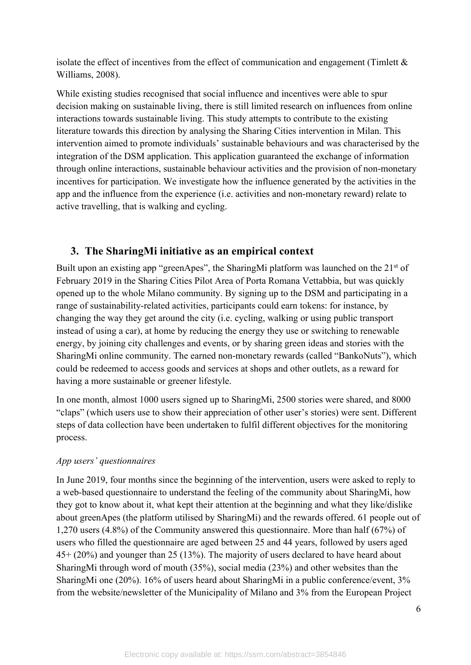isolate the effect of incentives from the effect of communication and engagement (Timlett  $\&$ Williams, 2008).

While existing studies recognised that social influence and incentives were able to spur decision making on sustainable living, there is still limited research on influences from online interactions towards sustainable living. This study attempts to contribute to the existing literature towards this direction by analysing the Sharing Cities intervention in Milan. This intervention aimed to promote individuals' sustainable behaviours and was characterised by the integration of the DSM application. This application guaranteed the exchange of information through online interactions, sustainable behaviour activities and the provision of non-monetary incentives for participation. We investigate how the influence generated by the activities in the app and the influence from the experience (i.e. activities and non-monetary reward) relate to active travelling, that is walking and cycling.

# **3. The SharingMi initiative as an empirical context**

Built upon an existing app "greenApes", the SharingMi platform was launched on the  $21<sup>st</sup>$  of February 2019 in the Sharing Cities Pilot Area of Porta Romana Vettabbia, but was quickly opened up to the whole Milano community. By signing up to the DSM and participating in a range of sustainability-related activities, participants could earn tokens: for instance, by changing the way they get around the city (i.e. cycling, walking or using public transport instead of using a car), at home by reducing the energy they use or switching to renewable energy, by joining city challenges and events, or by sharing green ideas and stories with the SharingMi online community. The earned non-monetary rewards (called "BankoNuts"), which could be redeemed to access goods and services at shops and other outlets, as a reward for having a more sustainable or greener lifestyle.

In one month, almost 1000 users signed up to SharingMi, 2500 stories were shared, and 8000 "claps" (which users use to show their appreciation of other user's stories) were sent. Different steps of data collection have been undertaken to fulfil different objectives for the monitoring process.

#### *App users' questionnaires*

In June 2019, four months since the beginning of the intervention, users were asked to reply to a web-based questionnaire to understand the feeling of the community about SharingMi, how they got to know about it, what kept their attention at the beginning and what they like/dislike about greenApes (the platform utilised by SharingMi) and the rewards offered. 61 people out of 1,270 users (4.8%) of the Community answered this questionnaire. More than half (67%) of users who filled the questionnaire are aged between 25 and 44 years, followed by users aged 45+ (20%) and younger than 25 (13%). The majority of users declared to have heard about SharingMi through word of mouth (35%), social media (23%) and other websites than the SharingMi one (20%). 16% of users heard about SharingMi in a public conference/event, 3% from the website/newsletter of the Municipality of Milano and 3% from the European Project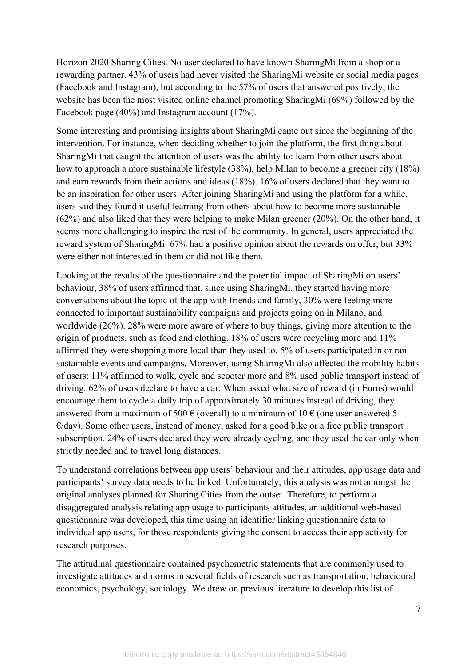Horizon 2020 Sharing Cities. No user declared to have known SharingMi from a shop or a rewarding partner. 43% of users had never visited the SharingMi website or social media pages (Facebook and Instagram), but according to the 57% of users that answered positively, the website has been the most visited online channel promoting SharingMi (69%) followed by the Facebook page (40%) and Instagram account (17%).

Some interesting and promising insights about SharingMi came out since the beginning of the intervention. For instance, when deciding whether to join the platform, the first thing about SharingMi that caught the attention of users was the ability to: learn from other users about how to approach a more sustainable lifestyle (38%), help Milan to become a greener city (18%) and earn rewards from their actions and ideas (18%). 16% of users declared that they want to be an inspiration for other users. After joining SharingMi and using the platform for a while, users said they found it useful learning from others about how to become more sustainable (62%) and also liked that they were helping to make Milan greener (20%). On the other hand, it seems more challenging to inspire the rest of the community. In general, users appreciated the reward system of SharingMi: 67% had a positive opinion about the rewards on offer, but 33% were either not interested in them or did not like them.

Looking at the results of the questionnaire and the potential impact of SharingMi on users' behaviour, 38% of users affirmed that, since using SharingMi, they started having more conversations about the topic of the app with friends and family, 30% were feeling more connected to important sustainability campaigns and projects going on in Milano, and worldwide (26%). 28% were more aware of where to buy things, giving more attention to the origin of products, such as food and clothing. 18% of users were recycling more and 11% affirmed they were shopping more local than they used to. 5% of users participated in or ran sustainable events and campaigns. Moreover, using SharingMi also affected the mobility habits of users: 11% affirmed to walk, cycle and scooter more and 8% used public transport instead of driving. 62% of users declare to have a car. When asked what size of reward (in Euros) would encourage them to cycle a daily trip of approximately 30 minutes instead of driving, they answered from a maximum of 500  $\epsilon$  (overall) to a minimum of 10  $\epsilon$  (one user answered 5  $\epsilon$ /day). Some other users, instead of money, asked for a good bike or a free public transport subscription. 24% of users declared they were already cycling, and they used the car only when strictly needed and to travel long distances.

To understand correlations between app users' behaviour and their attitudes, app usage data and participants' survey data needs to be linked. Unfortunately, this analysis was not amongst the original analyses planned for Sharing Cities from the outset. Therefore, to perform a disaggregated analysis relating app usage to participants attitudes, an additional web-based questionnaire was developed, this time using an identifier linking questionnaire data to individual app users, for those respondents giving the consent to access their app activity for research purposes.

The attitudinal questionnaire contained psychometric statements that are commonly used to investigate attitudes and norms in several fields of research such as transportation, behavioural economics, psychology, sociology. We drew on previous literature to develop this list of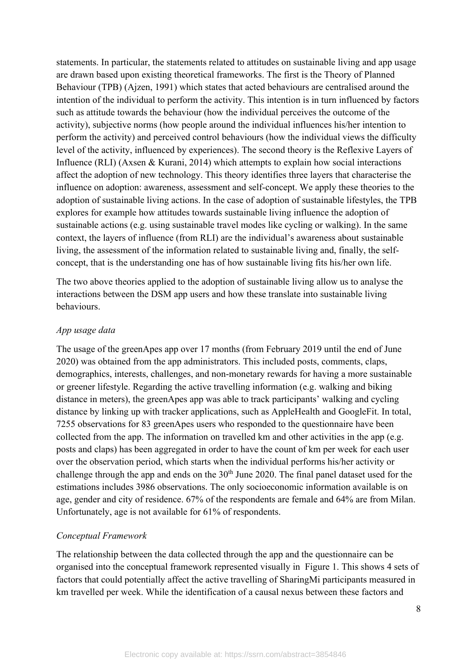statements. In particular, the statements related to attitudes on sustainable living and app usage are drawn based upon existing theoretical frameworks. The first is the Theory of Planned Behaviour (TPB) (Ajzen, 1991) which states that acted behaviours are centralised around the intention of the individual to perform the activity. This intention is in turn influenced by factors such as attitude towards the behaviour (how the individual perceives the outcome of the activity), subjective norms (how people around the individual influences his/her intention to perform the activity) and perceived control behaviours (how the individual views the difficulty level of the activity, influenced by experiences). The second theory is the Reflexive Layers of Influence (RLI) (Axsen & Kurani, 2014) which attempts to explain how social interactions affect the adoption of new technology. This theory identifies three layers that characterise the influence on adoption: awareness, assessment and self-concept. We apply these theories to the adoption of sustainable living actions. In the case of adoption of sustainable lifestyles, the TPB explores for example how attitudes towards sustainable living influence the adoption of sustainable actions (e.g. using sustainable travel modes like cycling or walking). In the same context, the layers of influence (from RLI) are the individual's awareness about sustainable living, the assessment of the information related to sustainable living and, finally, the selfconcept, that is the understanding one has of how sustainable living fits his/her own life.

The two above theories applied to the adoption of sustainable living allow us to analyse the interactions between the DSM app users and how these translate into sustainable living behaviours.

#### *App usage data*

The usage of the greenApes app over 17 months (from February 2019 until the end of June 2020) was obtained from the app administrators. This included posts, comments, claps, demographics, interests, challenges, and non-monetary rewards for having a more sustainable or greener lifestyle. Regarding the active travelling information (e.g. walking and biking distance in meters), the greenApes app was able to track participants' walking and cycling distance by linking up with tracker applications, such as AppleHealth and GoogleFit. In total, 7255 observations for 83 greenApes users who responded to the questionnaire have been collected from the app. The information on travelled km and other activities in the app (e.g. posts and claps) has been aggregated in order to have the count of km per week for each user over the observation period, which starts when the individual performs his/her activity or challenge through the app and ends on the  $30<sup>th</sup>$  June 2020. The final panel dataset used for the estimations includes 3986 observations. The only socioeconomic information available is on age, gender and city of residence. 67% of the respondents are female and 64% are from Milan. Unfortunately, age is not available for 61% of respondents.

#### *Conceptual Framework*

The relationship between the data collected through the app and the questionnaire can be organised into the conceptual framework represented visually in Figure 1. This shows 4 sets of factors that could potentially affect the active travelling of SharingMi participants measured in km travelled per week. While the identification of a causal nexus between these factors and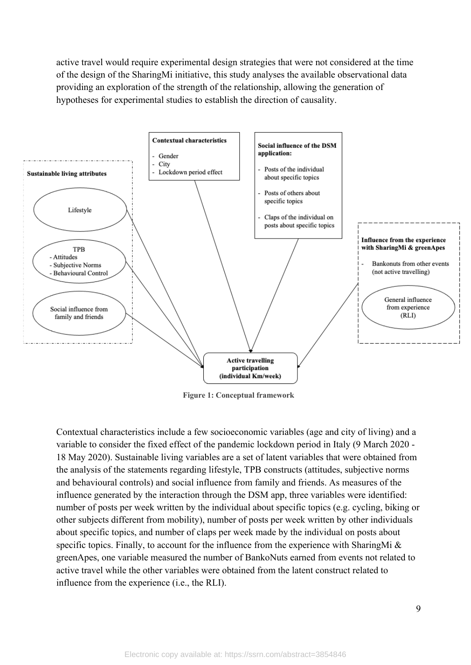active travel would require experimental design strategies that were not considered at the time of the design of the SharingMi initiative, this study analyses the available observational data providing an exploration of the strength of the relationship, allowing the generation of hypotheses for experimental studies to establish the direction of causality.



**Figure 1: Conceptual framework**

Contextual characteristics include a few socioeconomic variables (age and city of living) and a variable to consider the fixed effect of the pandemic lockdown period in Italy (9 March 2020 - 18 May 2020). Sustainable living variables are a set of latent variables that were obtained from the analysis of the statements regarding lifestyle, TPB constructs (attitudes, subjective norms and behavioural controls) and social influence from family and friends. As measures of the influence generated by the interaction through the DSM app, three variables were identified: number of posts per week written by the individual about specific topics (e.g. cycling, biking or other subjects different from mobility), number of posts per week written by other individuals about specific topics, and number of claps per week made by the individual on posts about specific topics. Finally, to account for the influence from the experience with SharingMi & greenApes, one variable measured the number of BankoNuts earned from events not related to active travel while the other variables were obtained from the latent construct related to influence from the experience (i.e., the RLI).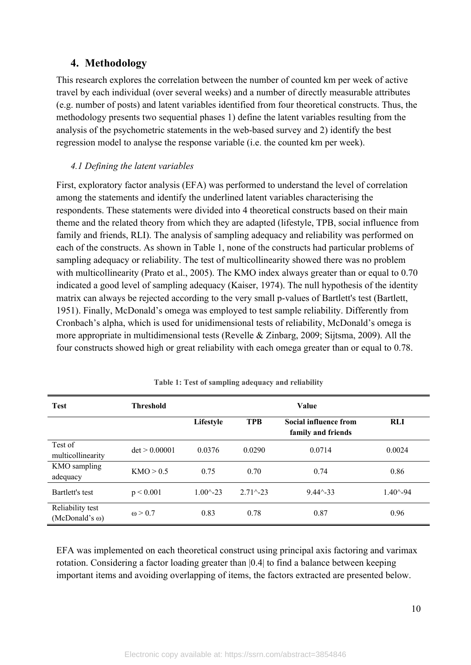## **4. Methodology**

This research explores the correlation between the number of counted km per week of active travel by each individual (over several weeks) and a number of directly measurable attributes (e.g. number of posts) and latent variables identified from four theoretical constructs. Thus, the methodology presents two sequential phases 1) define the latent variables resulting from the analysis of the psychometric statements in the web-based survey and 2) identify the best regression model to analyse the response variable (i.e. the counted km per week).

#### *4.1 Defining the latent variables*

First, exploratory factor analysis (EFA) was performed to understand the level of correlation among the statements and identify the underlined latent variables characterising the respondents. These statements were divided into 4 theoretical constructs based on their main theme and the related theory from which they are adapted (lifestyle, TPB, social influence from family and friends, RLI). The analysis of sampling adequacy and reliability was performed on each of the constructs. As shown in Table 1, none of the constructs had particular problems of sampling adequacy or reliability. The test of multicollinearity showed there was no problem with multicollinearity (Prato et al., 2005). The KMO index always greater than or equal to 0.70 indicated a good level of sampling adequacy (Kaiser, 1974). The null hypothesis of the identity matrix can always be rejected according to the very small p-values of Bartlett's test (Bartlett, 1951). Finally, McDonald's omega was employed to test sample reliability. Differently from Cronbach's alpha, which is used for unidimensional tests of reliability, McDonald's omega is more appropriate in multidimensional tests (Revelle & Zinbarg, 2009; Sijtsma, 2009). All the four constructs showed high or great reliability with each omega greater than or equal to 0.78.

| <b>Test</b>                               | <b>Threshold</b> | Value               |                    |                                                    |                     |
|-------------------------------------------|------------------|---------------------|--------------------|----------------------------------------------------|---------------------|
|                                           |                  | Lifestyle           | <b>TPB</b>         | <b>Social influence from</b><br>family and friends | <b>RLI</b>          |
| Test of<br>multicollinearity              | det > 0.00001    | 0.0376              | 0.0290             | 0.0714                                             | 0.0024              |
| KMO sampling<br>adequacy                  | KMO > 0.5        | 0.75                | 0.70               | 0.74                                               | 0.86                |
| Bartlett's test                           | p < 0.001        | $1.00^{\circ} - 23$ | $2.71^{\sim} - 23$ | $9.44^{\scriptstyle \wedge} -33$                   | $1.40^{\wedge} -94$ |
| Reliability test<br>$(McDonald's \omega)$ | $\omega > 0.7$   | 0.83                | 0.78               | 0.87                                               | 0.96                |

**Table 1: Test of sampling adequacy and reliability**

EFA was implemented on each theoretical construct using principal axis factoring and varimax rotation. Considering a factor loading greater than |0.4| to find a balance between keeping important items and avoiding overlapping of items, the factors extracted are presented below.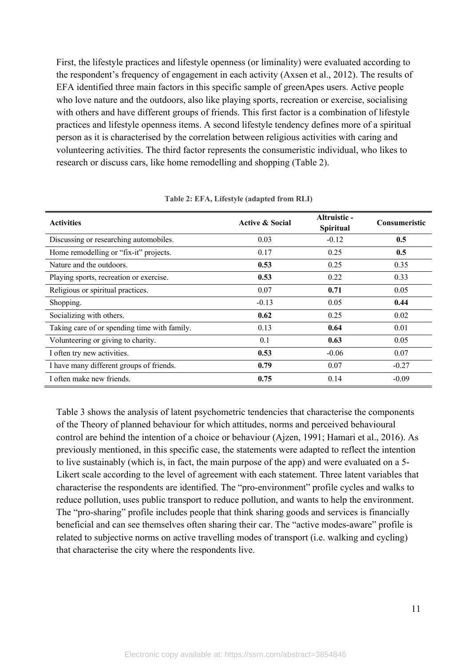First, the lifestyle practices and lifestyle openness (or liminality) were evaluated according to the respondent's frequency of engagement in each activity (Axsen et al., 2012). The results of EFA identified three main factors in this specific sample of greenApes users. Active people who love nature and the outdoors, also like playing sports, recreation or exercise, socialising with others and have different groups of friends. This first factor is a combination of lifestyle practices and lifestyle openness items. A second lifestyle tendency defines more of a spiritual person as it is characterised by the correlation between religious activities with caring and volunteering activities. The third factor represents the consumeristic individual, who likes to research or discuss cars, like home remodelling and shopping (Table 2).

| <b>Activities</b>                            | <b>Active &amp; Social</b> | Altruistic -<br><b>Spiritual</b> | <b>Consumeristic</b> |
|----------------------------------------------|----------------------------|----------------------------------|----------------------|
| Discussing or researching automobiles.       | 0.03                       | $-0.12$                          | 0.5                  |
| Home remodelling or "fix-it" projects.       | 0.17                       | 0.25                             | 0.5                  |
| Nature and the outdoors.                     | 0.53                       | 0.25                             | 0.35                 |
| Playing sports, recreation or exercise.      | 0.53                       | 0.22                             | 0.33                 |
| Religious or spiritual practices.            | 0.07                       | 0.71                             | 0.05                 |
| Shopping.                                    | $-0.13$                    | 0.05                             | 0.44                 |
| Socializing with others.                     | 0.62                       | 0.25                             | 0.02                 |
| Taking care of or spending time with family. | 0.13                       | 0.64                             | 0.01                 |
| Volunteering or giving to charity.           | 0.1                        | 0.63                             | 0.05                 |
| I often try new activities.                  | 0.53                       | $-0.06$                          | 0.07                 |
| I have many different groups of friends.     | 0.79                       | 0.07                             | $-0.27$              |
| I often make new friends.                    | 0.75                       | 0.14                             | $-0.09$              |

**Table 2: EFA, Lifestyle (adapted from RLI)**

Table 3 shows the analysis of latent psychometric tendencies that characterise the components of the Theory of planned behaviour for which attitudes, norms and perceived behavioural control are behind the intention of a choice or behaviour (Ajzen, 1991; Hamari et al., 2016). As previously mentioned, in this specific case, the statements were adapted to reflect the intention to live sustainably (which is, in fact, the main purpose of the app) and were evaluated on a 5- Likert scale according to the level of agreement with each statement. Three latent variables that characterise the respondents are identified. The "pro-environment" profile cycles and walks to reduce pollution, uses public transport to reduce pollution, and wants to help the environment. The "pro-sharing" profile includes people that think sharing goods and services is financially beneficial and can see themselves often sharing their car. The "active modes-aware" profile is related to subjective norms on active travelling modes of transport (i.e. walking and cycling) that characterise the city where the respondents live.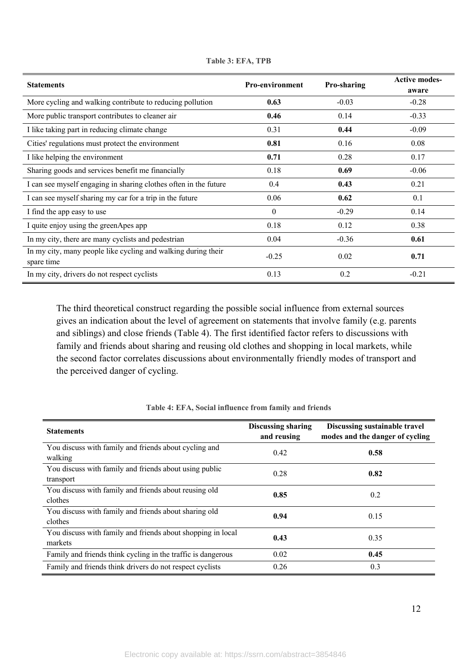| <b>Statements</b>                                                | <b>Pro-environment</b> | Pro-sharing | <b>Active modes-</b> |
|------------------------------------------------------------------|------------------------|-------------|----------------------|
|                                                                  |                        |             | aware                |
| More cycling and walking contribute to reducing pollution        | 0.63                   | $-0.03$     | $-0.28$              |
| More public transport contributes to cleaner air                 | 0.46                   | 0.14        | $-0.33$              |
| I like taking part in reducing climate change                    | 0.31                   | 0.44        | $-0.09$              |
| Cities' regulations must protect the environment                 | 0.81                   | 0.16        | 0.08                 |
| I like helping the environment                                   | 0.71                   | 0.28        | 0.17                 |
| Sharing goods and services benefit me financially                | 0.18                   | 0.69        | $-0.06$              |
| I can see myself engaging in sharing clothes often in the future | 0.4                    | 0.43        | 0.21                 |
| I can see myself sharing my car for a trip in the future         | 0.06                   | 0.62        | 0.1                  |
| I find the app easy to use                                       | $\mathbf{0}$           | $-0.29$     | 0.14                 |
| I quite enjoy using the greenApes app                            | 0.18                   | 0.12        | 0.38                 |
| In my city, there are many cyclists and pedestrian               | 0.04                   | $-0.36$     | 0.61                 |
| In my city, many people like cycling and walking during their    | $-0.25$                | 0.02        | 0.71                 |
| spare time                                                       |                        |             |                      |
| In my city, drivers do not respect cyclists                      | 0.13                   | 0.2         | $-0.21$              |

**Table 3: EFA, TPB**

The third theoretical construct regarding the possible social influence from external sources gives an indication about the level of agreement on statements that involve family (e.g. parents and siblings) and close friends (Table 4). The first identified factor refers to discussions with family and friends about sharing and reusing old clothes and shopping in local markets, while the second factor correlates discussions about environmentally friendly modes of transport and the perceived danger of cycling.

| <b>Statements</b>                                                      | <b>Discussing sharing</b><br>and reusing | Discussing sustainable travel<br>modes and the danger of cycling |
|------------------------------------------------------------------------|------------------------------------------|------------------------------------------------------------------|
| You discuss with family and friends about cycling and<br>walking       | 0.42                                     | 0.58                                                             |
| You discuss with family and friends about using public<br>transport    | 0.28                                     | 0.82                                                             |
| You discuss with family and friends about reusing old<br>clothes       | 0.85                                     | 0.2                                                              |
| You discuss with family and friends about sharing old<br>clothes       | 0.94                                     | 0.15                                                             |
| You discuss with family and friends about shopping in local<br>markets | 0.43                                     | 0.35                                                             |
| Family and friends think cycling in the traffic is dangerous           | 0.02                                     | 0.45                                                             |
| Family and friends think drivers do not respect cyclists               | 0.26                                     | 0.3                                                              |

**Table 4: EFA, Social influence from family and friends**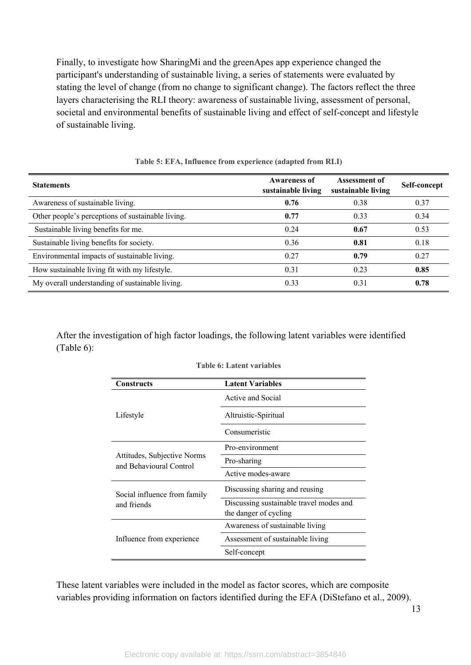Finally, to investigate how SharingMi and the greenApes app experience changed the participant's understanding of sustainable living, a series of statements were evaluated by stating the level of change (from no change to significant change). The factors reflect the three layers characterising the RLI theory: awareness of sustainable living, assessment of personal, societal and environmental benefits of sustainable living and effect of self-concept and lifestyle of sustainable living.

| <b>Statements</b>                                 | <b>Awareness of</b><br>sustainable living | <b>Assessment of</b><br>sustainable living | Self-concept |
|---------------------------------------------------|-------------------------------------------|--------------------------------------------|--------------|
| Awareness of sustainable living.                  | 0.76                                      | 0.38                                       | 0.37         |
| Other people's perceptions of sustainable living. | 0.77                                      | 0.33                                       | 0.34         |
| Sustainable living benefits for me.               | 0.24                                      | 0.67                                       | 0.53         |
| Sustainable living benefits for society.          | 0.36                                      | 0.81                                       | 0.18         |
| Environmental impacts of sustainable living.      | 0.27                                      | 0.79                                       | 0.27         |
| How sustainable living fit with my lifestyle.     | 0.31                                      | 0.23                                       | 0.85         |
| My overall understanding of sustainable living.   | 0.33                                      | 0.31                                       | 0.78         |

**Table 5: EFA, Influence from experience (adapted from RLI)**

After the investigation of high factor loadings, the following latent variables were identified (Table 6):

| <b>Constructs</b>                                      | <b>Latent Variables</b>                 |  |  |
|--------------------------------------------------------|-----------------------------------------|--|--|
|                                                        | Active and Social                       |  |  |
| Lifestyle                                              | Altruistic-Spiritual                    |  |  |
|                                                        | Consumeristic                           |  |  |
|                                                        | Pro-environment                         |  |  |
| Attitudes, Subjective Norms<br>and Behavioural Control | Pro-sharing                             |  |  |
|                                                        | Active modes-aware                      |  |  |
| Social influence from family                           | Discussing sharing and reusing          |  |  |
| and friends                                            | Discussing sustainable travel modes and |  |  |
|                                                        | the danger of cycling                   |  |  |
|                                                        | Awareness of sustainable living         |  |  |
| Influence from experience                              | Assessment of sustainable living        |  |  |
|                                                        | Self-concept                            |  |  |

**Table 6: Latent variables**

These latent variables were included in the model as factor scores, which are composite variables providing information on factors identified during the EFA (DiStefano et al., 2009).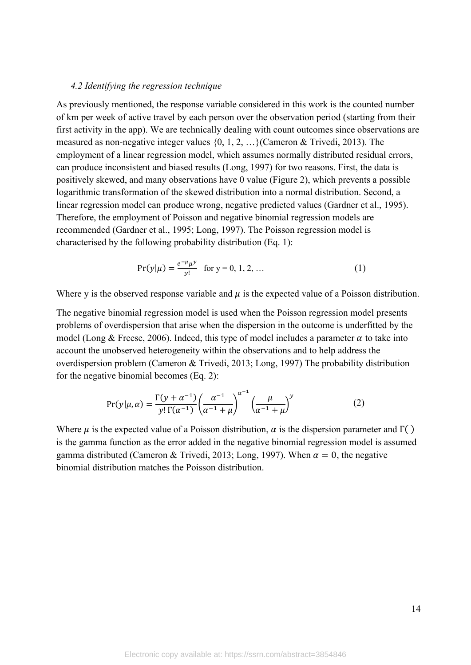#### *4.2 Identifying the regression technique*

As previously mentioned, the response variable considered in this work is the counted number of km per week of active travel by each person over the observation period (starting from their first activity in the app). We are technically dealing with count outcomes since observations are measured as non-negative integer values {0, 1, 2, …}(Cameron & Trivedi, 2013). The employment of a linear regression model, which assumes normally distributed residual errors, can produce inconsistent and biased results (Long, 1997) for two reasons. First, the data is positively skewed, and many observations have 0 value (Figure 2), which prevents a possible logarithmic transformation of the skewed distribution into a normal distribution. Second, a linear regression model can produce wrong, negative predicted values (Gardner et al., 1995). Therefore, the employment of Poisson and negative binomial regression models are recommended (Gardner et al., 1995; Long, 1997). The Poisson regression model is characterised by the following probability distribution (Eq. 1):

$$
Pr(y|\mu) = \frac{e^{-\mu}\mu^y}{y!} \text{ for } y = 0, 1, 2, ... \tag{1}
$$

Where y is the observed response variable and  $\mu$  is the expected value of a Poisson distribution.

The negative binomial regression model is used when the Poisson regression model presents problems of overdispersion that arise when the dispersion in the outcome is underfitted by the model (Long & Freese, 2006). Indeed, this type of model includes a parameter  $\alpha$  to take into account the unobserved heterogeneity within the observations and to help address the overdispersion problem (Cameron & Trivedi, 2013; Long, 1997) The probability distribution for the negative binomial becomes (Eq. 2):

$$
Pr(y|\mu,\alpha) = \frac{\Gamma(y+\alpha^{-1})}{y!\,\Gamma(\alpha^{-1})} \left(\frac{\alpha^{-1}}{\alpha^{-1}+\mu}\right)^{\alpha^{-1}} \left(\frac{\mu}{\alpha^{-1}+\mu}\right)^y
$$
 (2)

Where  $\mu$  is the expected value of a Poisson distribution,  $\alpha$  is the dispersion parameter and  $\Gamma(\cdot)$ is the gamma function as the error added in the negative binomial regression model is assumed gamma distributed (Cameron & Trivedi, 2013; Long, 1997). When  $\alpha = 0$ , the negative binomial distribution matches the Poisson distribution.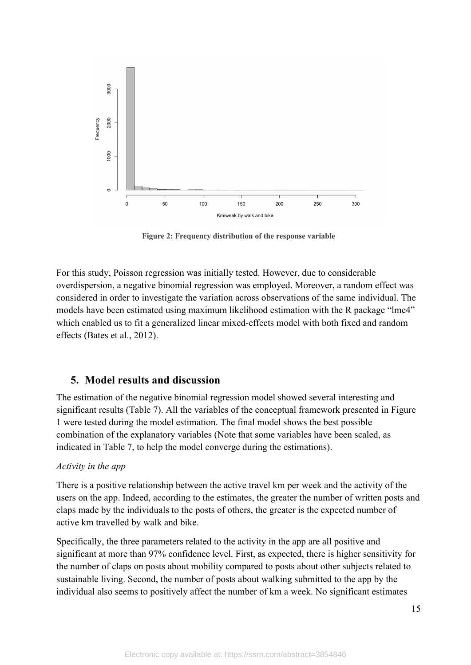

**Figure 2: Frequency distribution of the response variable**

For this study, Poisson regression was initially tested. However, due to considerable overdispersion, a negative binomial regression was employed. Moreover, a random effect was considered in order to investigate the variation across observations of the same individual. The models have been estimated using maximum likelihood estimation with the R package "lme4" which enabled us to fit a generalized linear mixed-effects model with both fixed and random effects (Bates et al., 2012).

#### **5. Model results and discussion**

The estimation of the negative binomial regression model showed several interesting and significant results (Table 7). All the variables of the conceptual framework presented in Figure 1 were tested during the model estimation. The final model shows the best possible combination of the explanatory variables (Note that some variables have been scaled, as indicated in Table 7, to help the model converge during the estimations).

#### *Activity in the app*

There is a positive relationship between the active travel km per week and the activity of the users on the app. Indeed, according to the estimates, the greater the number of written posts and claps made by the individuals to the posts of others, the greater is the expected number of active km travelled by walk and bike.

Specifically, the three parameters related to the activity in the app are all positive and significant at more than 97% confidence level. First, as expected, there is higher sensitivity for the number of claps on posts about mobility compared to posts about other subjects related to sustainable living. Second, the number of posts about walking submitted to the app by the individual also seems to positively affect the number of km a week. No significant estimates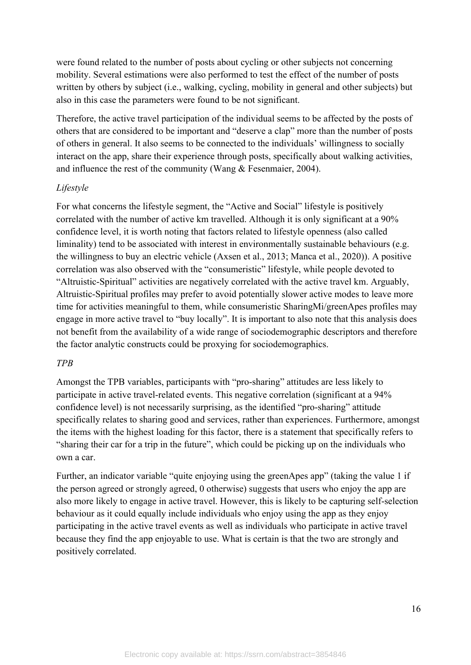were found related to the number of posts about cycling or other subjects not concerning mobility. Several estimations were also performed to test the effect of the number of posts written by others by subject (i.e., walking, cycling, mobility in general and other subjects) but also in this case the parameters were found to be not significant.

Therefore, the active travel participation of the individual seems to be affected by the posts of others that are considered to be important and "deserve a clap" more than the number of posts of others in general. It also seems to be connected to the individuals' willingness to socially interact on the app, share their experience through posts, specifically about walking activities, and influence the rest of the community (Wang & Fesenmaier, 2004).

#### *Lifestyle*

For what concerns the lifestyle segment, the "Active and Social" lifestyle is positively correlated with the number of active km travelled. Although it is only significant at a 90% confidence level, it is worth noting that factors related to lifestyle openness (also called liminality) tend to be associated with interest in environmentally sustainable behaviours (e.g. the willingness to buy an electric vehicle (Axsen et al., 2013; Manca et al., 2020)). A positive correlation was also observed with the "consumeristic" lifestyle, while people devoted to "Altruistic-Spiritual" activities are negatively correlated with the active travel km. Arguably, Altruistic-Spiritual profiles may prefer to avoid potentially slower active modes to leave more time for activities meaningful to them, while consumeristic SharingMi/greenApes profiles may engage in more active travel to "buy locally". It is important to also note that this analysis does not benefit from the availability of a wide range of sociodemographic descriptors and therefore the factor analytic constructs could be proxying for sociodemographics.

#### *TPB*

Amongst the TPB variables, participants with "pro-sharing" attitudes are less likely to participate in active travel-related events. This negative correlation (significant at a 94% confidence level) is not necessarily surprising, as the identified "pro-sharing" attitude specifically relates to sharing good and services, rather than experiences. Furthermore, amongst the items with the highest loading for this factor, there is a statement that specifically refers to "sharing their car for a trip in the future", which could be picking up on the individuals who own a car.

Further, an indicator variable "quite enjoying using the greenApes app" (taking the value 1 if the person agreed or strongly agreed, 0 otherwise) suggests that users who enjoy the app are also more likely to engage in active travel. However, this is likely to be capturing self-selection behaviour as it could equally include individuals who enjoy using the app as they enjoy participating in the active travel events as well as individuals who participate in active travel because they find the app enjoyable to use. What is certain is that the two are strongly and positively correlated.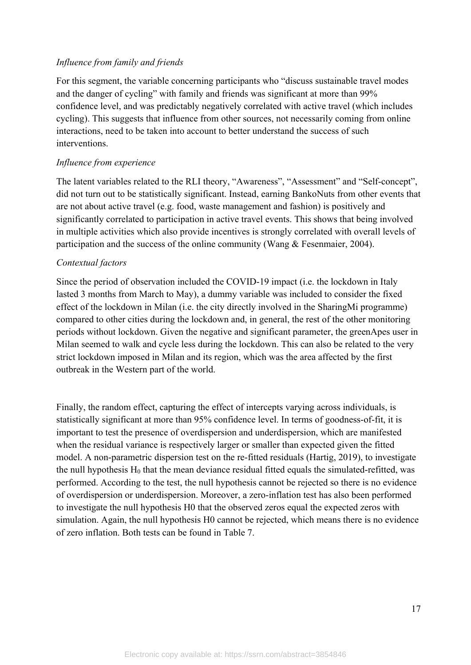#### *Influence from family and friends*

For this segment, the variable concerning participants who "discuss sustainable travel modes and the danger of cycling" with family and friends was significant at more than 99% confidence level, and was predictably negatively correlated with active travel (which includes cycling). This suggests that influence from other sources, not necessarily coming from online interactions, need to be taken into account to better understand the success of such interventions.

#### *Influence from experience*

The latent variables related to the RLI theory, "Awareness", "Assessment" and "Self-concept", did not turn out to be statistically significant. Instead, earning BankoNuts from other events that are not about active travel (e.g. food, waste management and fashion) is positively and significantly correlated to participation in active travel events. This shows that being involved in multiple activities which also provide incentives is strongly correlated with overall levels of participation and the success of the online community (Wang & Fesenmaier, 2004).

#### *Contextual factors*

Since the period of observation included the COVID-19 impact (i.e. the lockdown in Italy lasted 3 months from March to May), a dummy variable was included to consider the fixed effect of the lockdown in Milan (i.e. the city directly involved in the SharingMi programme) compared to other cities during the lockdown and, in general, the rest of the other monitoring periods without lockdown. Given the negative and significant parameter, the greenApes user in Milan seemed to walk and cycle less during the lockdown. This can also be related to the very strict lockdown imposed in Milan and its region, which was the area affected by the first outbreak in the Western part of the world.

Finally, the random effect, capturing the effect of intercepts varying across individuals, is statistically significant at more than 95% confidence level. In terms of goodness-of-fit, it is important to test the presence of overdispersion and underdispersion, which are manifested when the residual variance is respectively larger or smaller than expected given the fitted model. A non-parametric dispersion test on the re-fitted residuals (Hartig, 2019), to investigate the null hypothesis  $H_0$  that the mean deviance residual fitted equals the simulated-refitted, was performed. According to the test, the null hypothesis cannot be rejected so there is no evidence of overdispersion or underdispersion. Moreover, a zero-inflation test has also been performed to investigate the null hypothesis H0 that the observed zeros equal the expected zeros with simulation. Again, the null hypothesis H0 cannot be rejected, which means there is no evidence of zero inflation. Both tests can be found in Table 7.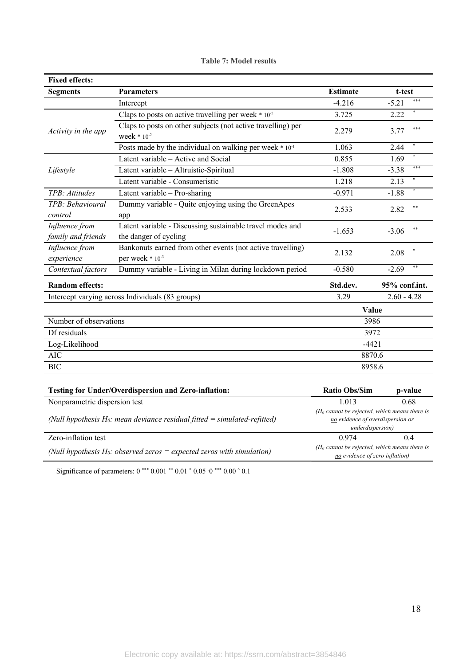| <b>Fixed effects:</b>                                                        |                                                                                           |                                                                                     |                  |
|------------------------------------------------------------------------------|-------------------------------------------------------------------------------------------|-------------------------------------------------------------------------------------|------------------|
| <b>Segments</b>                                                              | <b>Parameters</b>                                                                         | <b>Estimate</b>                                                                     | t-test           |
|                                                                              | Intercept                                                                                 | $-4.216$                                                                            | ***<br>$-5.21$   |
|                                                                              | Claps to posts on active travelling per week $*10^{-2}$                                   | 3.725                                                                               | 2.22             |
| Activity in the app                                                          | Claps to posts on other subjects (not active travelling) per<br>week $* 10^{-2}$          | 2.279                                                                               | ***<br>3.77      |
|                                                                              | Posts made by the individual on walking per week * 10 <sup>-1</sup>                       | 1.063                                                                               | 2.44             |
|                                                                              | Latent variable – Active and Social                                                       | 0.855                                                                               | 1.69             |
| Lifestyle                                                                    | Latent variable - Altruistic-Spiritual                                                    | $-1.808$                                                                            | ***<br>$-3.38$   |
|                                                                              | Latent variable - Consumeristic                                                           | 1.218                                                                               | 2.13             |
| TPB: Attitudes                                                               | Latent variable - Pro-sharing                                                             | $-0.971$                                                                            | $-1.88$          |
| TPB: Behavioural<br>control                                                  | Dummy variable - Quite enjoying using the GreenApes<br>app                                | 2.533                                                                               | $**$<br>2.82     |
| Influence from<br>family and friends                                         | Latent variable - Discussing sustainable travel modes and<br>the danger of cycling        | $-1.653$                                                                            | $* *$<br>$-3.06$ |
| Influence from<br>experience                                                 | Bankonuts earned from other events (not active travelling)<br>per week * 10 <sup>-3</sup> | 2.132                                                                               | 2.08             |
| Contextual factors                                                           | Dummy variable - Living in Milan during lockdown period                                   | $-0.580$                                                                            | $-2.69$          |
| <b>Random effects:</b>                                                       |                                                                                           | Std.dev.                                                                            | 95% conf.int.    |
| Intercept varying across Individuals (83 groups)                             |                                                                                           | 3.29                                                                                | $2.60 - 4.28$    |
|                                                                              |                                                                                           | Value                                                                               |                  |
| Number of observations                                                       |                                                                                           | 3986                                                                                |                  |
| Df residuals                                                                 |                                                                                           | 3972                                                                                |                  |
| Log-Likelihood                                                               |                                                                                           | $-4421$                                                                             |                  |
| <b>AIC</b>                                                                   |                                                                                           | 8870.6                                                                              |                  |
| <b>BIC</b>                                                                   |                                                                                           | 8958.6                                                                              |                  |
|                                                                              | <b>Testing for Under/Overdispersion and Zero-inflation:</b>                               | <b>Ratio Obs/Sim</b>                                                                | p-value          |
| Nonparametric dispersion test                                                |                                                                                           | 1.013                                                                               | 0.68             |
| (Null hypothesis $H_0$ : mean deviance residual fitted = simulated-refitted) |                                                                                           | $(H_0$ cannot be rejected, which means there is<br>no evidence of overdispersion or |                  |

Zero-inflation test 0.974 0.4 *(Null hypothesis H0: observed zeros = expected zeros with simulation) (H0 cannot be rejected, which means there is* 

|  |  |  | <b>Table 7: Model results</b> |
|--|--|--|-------------------------------|
|--|--|--|-------------------------------|

Significance of parameters:  $0***0.001**0.01*0.05 \cdot 0***0.00 \cdot 0.1$ 

*underdispersion)*

*no evidence of zero inflation)*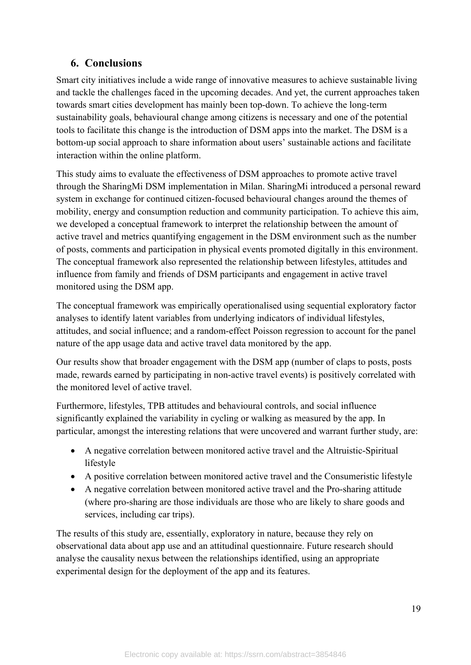# **6. Conclusions**

Smart city initiatives include a wide range of innovative measures to achieve sustainable living and tackle the challenges faced in the upcoming decades. And yet, the current approaches taken towards smart cities development has mainly been top-down. To achieve the long-term sustainability goals, behavioural change among citizens is necessary and one of the potential tools to facilitate this change is the introduction of DSM apps into the market. The DSM is a bottom-up social approach to share information about users' sustainable actions and facilitate interaction within the online platform.

This study aims to evaluate the effectiveness of DSM approaches to promote active travel through the SharingMi DSM implementation in Milan. SharingMi introduced a personal reward system in exchange for continued citizen-focused behavioural changes around the themes of mobility, energy and consumption reduction and community participation. To achieve this aim, we developed a conceptual framework to interpret the relationship between the amount of active travel and metrics quantifying engagement in the DSM environment such as the number of posts, comments and participation in physical events promoted digitally in this environment. The conceptual framework also represented the relationship between lifestyles, attitudes and influence from family and friends of DSM participants and engagement in active travel monitored using the DSM app.

The conceptual framework was empirically operationalised using sequential exploratory factor analyses to identify latent variables from underlying indicators of individual lifestyles, attitudes, and social influence; and a random-effect Poisson regression to account for the panel nature of the app usage data and active travel data monitored by the app.

Our results show that broader engagement with the DSM app (number of claps to posts, posts made, rewards earned by participating in non-active travel events) is positively correlated with the monitored level of active travel.

Furthermore, lifestyles, TPB attitudes and behavioural controls, and social influence significantly explained the variability in cycling or walking as measured by the app. In particular, amongst the interesting relations that were uncovered and warrant further study, are:

- A negative correlation between monitored active travel and the Altruistic-Spiritual lifestyle
- A positive correlation between monitored active travel and the Consumeristic lifestyle
- A negative correlation between monitored active travel and the Pro-sharing attitude (where pro-sharing are those individuals are those who are likely to share goods and services, including car trips).

The results of this study are, essentially, exploratory in nature, because they rely on observational data about app use and an attitudinal questionnaire. Future research should analyse the causality nexus between the relationships identified, using an appropriate experimental design for the deployment of the app and its features.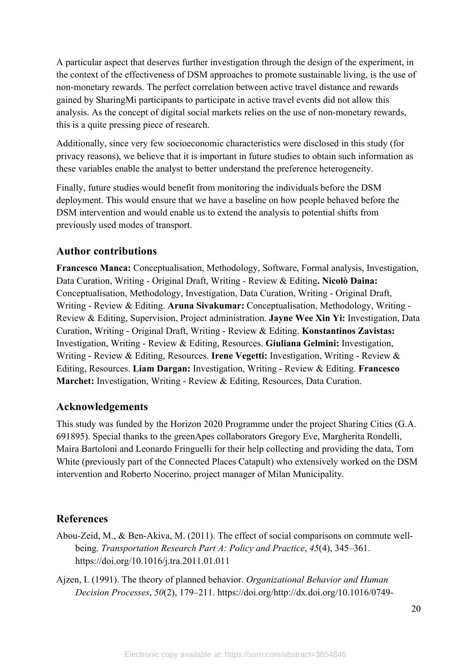A particular aspect that deserves further investigation through the design of the experiment, in the context of the effectiveness of DSM approaches to promote sustainable living, is the use of non-monetary rewards. The perfect correlation between active travel distance and rewards gained by SharingMi participants to participate in active travel events did not allow this analysis. As the concept of digital social markets relies on the use of non-monetary rewards, this is a quite pressing piece of research.

Additionally, since very few socioeconomic characteristics were disclosed in this study (for privacy reasons), we believe that it is important in future studies to obtain such information as these variables enable the analyst to better understand the preference heterogeneity.

Finally, future studies would benefit from monitoring the individuals before the DSM deployment. This would ensure that we have a baseline on how people behaved before the DSM intervention and would enable us to extend the analysis to potential shifts from previously used modes of transport.

## **Author contributions**

**Francesco Manca:** Conceptualisation, Methodology, Software, Formal analysis, Investigation, Data Curation, Writing - Original Draft, Writing - Review & Editing**. Nicolò Daina:** Conceptualisation, Methodology, Investigation, Data Curation, Writing - Original Draft, Writing - Review & Editing. **Aruna Sivakumar:** Conceptualisation, Methodology, Writing - Review & Editing, Supervision, Project administration. **Jayne Wee Xin Yi:** Investigation, Data Curation, Writing - Original Draft, Writing - Review & Editing. **Konstantinos Zavistas:** Investigation, Writing - Review & Editing, Resources. **Giuliana Gelmini:** Investigation, Writing - Review & Editing, Resources. **Irene Vegetti:** Investigation, Writing - Review & Editing, Resources. **Liam Dargan:** Investigation, Writing - Review & Editing. **Francesco Marchet:** Investigation, Writing - Review & Editing, Resources, Data Curation.

#### **Acknowledgements**

This study was funded by the Horizon 2020 Programme under the project Sharing Cities (G.A. 691895). Special thanks to the greenApes collaborators Gregory Eve, Margherita Rondelli, Maira Bartoloni and Leonardo Fringuelli for their help collecting and providing the data, Tom White (previously part of the Connected Places Catapult) who extensively worked on the DSM intervention and Roberto Nocerino, project manager of Milan Municipality.

## **References**

- Abou-Zeid, M., & Ben-Akiva, M. (2011). The effect of social comparisons on commute wellbeing. *Transportation Research Part A: Policy and Practice*, *45*(4), 345–361. https://doi.org/10.1016/j.tra.2011.01.011
- Ajzen, I. (1991). The theory of planned behavior. *Organizational Behavior and Human Decision Processes*, *50*(2), 179–211. https://doi.org/http://dx.doi.org/10.1016/0749-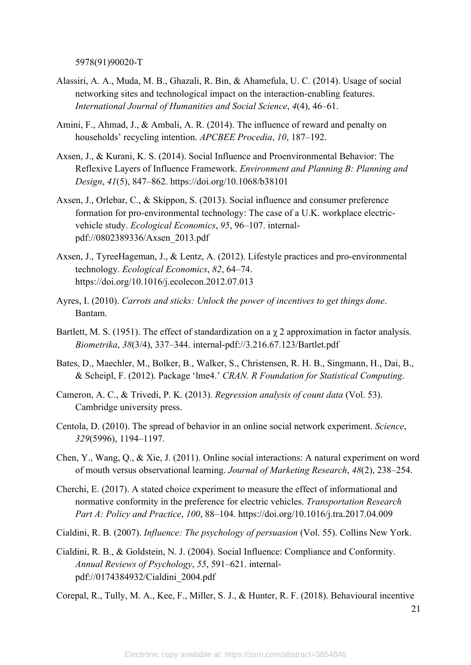5978(91)90020-T

- Alassiri, A. A., Muda, M. B., Ghazali, R. Bin, & Ahamefula, U. C. (2014). Usage of social networking sites and technological impact on the interaction-enabling features. *International Journal of Humanities and Social Science*, *4*(4), 46–61.
- Amini, F., Ahmad, J., & Ambali, A. R. (2014). The influence of reward and penalty on households' recycling intention. *APCBEE Procedia*, *10*, 187–192.
- Axsen, J., & Kurani, K. S. (2014). Social Influence and Proenvironmental Behavior: The Reflexive Layers of Influence Framework. *Environment and Planning B: Planning and Design*, *41*(5), 847–862. https://doi.org/10.1068/b38101
- Axsen, J., Orlebar, C., & Skippon, S. (2013). Social influence and consumer preference formation for pro-environmental technology: The case of a U.K. workplace electricvehicle study. *Ecological Economics*, *95*, 96–107. internalpdf://0802389336/Axsen\_2013.pdf
- Axsen, J., TyreeHageman, J., & Lentz, A. (2012). Lifestyle practices and pro-environmental technology. *Ecological Economics*, *82*, 64–74. https://doi.org/10.1016/j.ecolecon.2012.07.013
- Ayres, I. (2010). *Carrots and sticks: Unlock the power of incentives to get things done*. Bantam.
- Bartlett, M. S. (1951). The effect of standardization on a  $\chi$  2 approximation in factor analysis. *Biometrika*, *38*(3/4), 337–344. internal-pdf://3.216.67.123/Bartlet.pdf
- Bates, D., Maechler, M., Bolker, B., Walker, S., Christensen, R. H. B., Singmann, H., Dai, B., & Scheipl, F. (2012). Package 'lme4.' *CRAN. R Foundation for Statistical Computing*.
- Cameron, A. C., & Trivedi, P. K. (2013). *Regression analysis of count data* (Vol. 53). Cambridge university press.
- Centola, D. (2010). The spread of behavior in an online social network experiment. *Science*, *329*(5996), 1194–1197.
- Chen, Y., Wang, Q., & Xie, J. (2011). Online social interactions: A natural experiment on word of mouth versus observational learning. *Journal of Marketing Research*, *48*(2), 238–254.
- Cherchi, E. (2017). A stated choice experiment to measure the effect of informational and normative conformity in the preference for electric vehicles. *Transportation Research Part A: Policy and Practice*, *100*, 88–104. https://doi.org/10.1016/j.tra.2017.04.009
- Cialdini, R. B. (2007). *Influence: The psychology of persuasion* (Vol. 55). Collins New York.
- Cialdini, R. B., & Goldstein, N. J. (2004). Social Influence: Compliance and Conformity. *Annual Reviews of Psychology*, *55*, 591–621. internalpdf://0174384932/Cialdini\_2004.pdf

Corepal, R., Tully, M. A., Kee, F., Miller, S. J., & Hunter, R. F. (2018). Behavioural incentive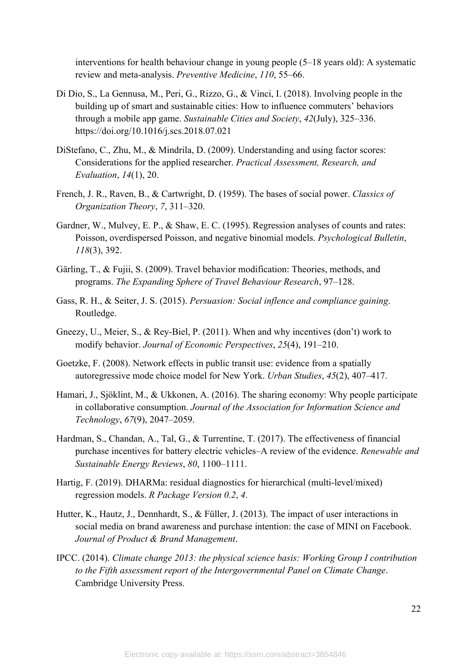interventions for health behaviour change in young people (5–18 years old): A systematic review and meta-analysis. *Preventive Medicine*, *110*, 55–66.

- Di Dio, S., La Gennusa, M., Peri, G., Rizzo, G., & Vinci, I. (2018). Involving people in the building up of smart and sustainable cities: How to influence commuters' behaviors through a mobile app game. *Sustainable Cities and Society*, *42*(July), 325–336. https://doi.org/10.1016/j.scs.2018.07.021
- DiStefano, C., Zhu, M., & Mindrila, D. (2009). Understanding and using factor scores: Considerations for the applied researcher. *Practical Assessment, Research, and Evaluation*, *14*(1), 20.
- French, J. R., Raven, B., & Cartwright, D. (1959). The bases of social power. *Classics of Organization Theory*, *7*, 311–320.
- Gardner, W., Mulvey, E. P., & Shaw, E. C. (1995). Regression analyses of counts and rates: Poisson, overdispersed Poisson, and negative binomial models. *Psychological Bulletin*, *118*(3), 392.
- Gärling, T., & Fujii, S. (2009). Travel behavior modification: Theories, methods, and programs. *The Expanding Sphere of Travel Behaviour Research*, 97–128.
- Gass, R. H., & Seiter, J. S. (2015). *Persuasion: Social inflence and compliance gaining*. Routledge.
- Gneezy, U., Meier, S., & Rey-Biel, P. (2011). When and why incentives (don't) work to modify behavior. *Journal of Economic Perspectives*, *25*(4), 191–210.
- Goetzke, F. (2008). Network effects in public transit use: evidence from a spatially autoregressive mode choice model for New York. *Urban Studies*, *45*(2), 407–417.
- Hamari, J., Sjöklint, M., & Ukkonen, A. (2016). The sharing economy: Why people participate in collaborative consumption. *Journal of the Association for Information Science and Technology*, *67*(9), 2047–2059.
- Hardman, S., Chandan, A., Tal, G., & Turrentine, T. (2017). The effectiveness of financial purchase incentives for battery electric vehicles–A review of the evidence. *Renewable and Sustainable Energy Reviews*, *80*, 1100–1111.
- Hartig, F. (2019). DHARMa: residual diagnostics for hierarchical (multi-level/mixed) regression models. *R Package Version 0.2*, *4*.
- Hutter, K., Hautz, J., Dennhardt, S., & Füller, J. (2013). The impact of user interactions in social media on brand awareness and purchase intention: the case of MINI on Facebook. *Journal of Product & Brand Management*.
- IPCC. (2014). *Climate change 2013: the physical science basis: Working Group I contribution to the Fifth assessment report of the Intergovernmental Panel on Climate Change*. Cambridge University Press.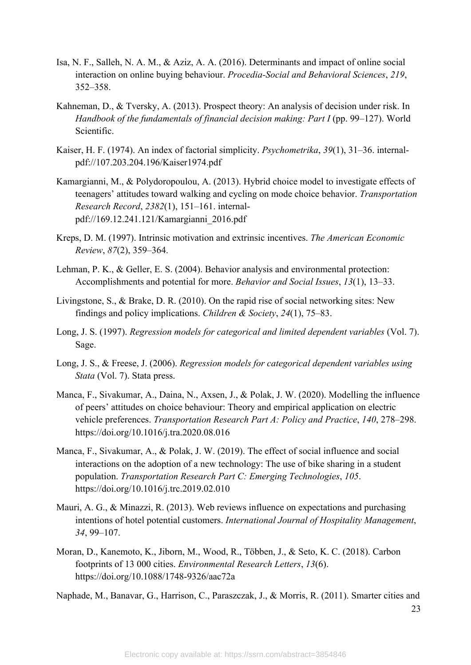- Isa, N. F., Salleh, N. A. M., & Aziz, A. A. (2016). Determinants and impact of online social interaction on online buying behaviour. *Procedia-Social and Behavioral Sciences*, *219*, 352–358.
- Kahneman, D., & Tversky, A. (2013). Prospect theory: An analysis of decision under risk. In *Handbook of the fundamentals of financial decision making: Part I* (pp. 99–127). World Scientific.
- Kaiser, H. F. (1974). An index of factorial simplicity. *Psychometrika*, *39*(1), 31–36. internalpdf://107.203.204.196/Kaiser1974.pdf
- Kamargianni, M., & Polydoropoulou, A. (2013). Hybrid choice model to investigate effects of teenagers' attitudes toward walking and cycling on mode choice behavior. *Transportation Research Record*, *2382*(1), 151–161. internalpdf://169.12.241.121/Kamargianni\_2016.pdf
- Kreps, D. M. (1997). Intrinsic motivation and extrinsic incentives. *The American Economic Review*, *87*(2), 359–364.
- Lehman, P. K., & Geller, E. S. (2004). Behavior analysis and environmental protection: Accomplishments and potential for more. *Behavior and Social Issues*, *13*(1), 13–33.
- Livingstone, S., & Brake, D. R. (2010). On the rapid rise of social networking sites: New findings and policy implications. *Children & Society*, *24*(1), 75–83.
- Long, J. S. (1997). *Regression models for categorical and limited dependent variables* (Vol. 7). Sage.
- Long, J. S., & Freese, J. (2006). *Regression models for categorical dependent variables using Stata* (Vol. 7). Stata press.
- Manca, F., Sivakumar, A., Daina, N., Axsen, J., & Polak, J. W. (2020). Modelling the influence of peers' attitudes on choice behaviour: Theory and empirical application on electric vehicle preferences. *Transportation Research Part A: Policy and Practice*, *140*, 278–298. https://doi.org/10.1016/j.tra.2020.08.016
- Manca, F., Sivakumar, A., & Polak, J. W. (2019). The effect of social influence and social interactions on the adoption of a new technology: The use of bike sharing in a student population. *Transportation Research Part C: Emerging Technologies*, *105*. https://doi.org/10.1016/j.trc.2019.02.010
- Mauri, A. G., & Minazzi, R. (2013). Web reviews influence on expectations and purchasing intentions of hotel potential customers. *International Journal of Hospitality Management*, *34*, 99–107.
- Moran, D., Kanemoto, K., Jiborn, M., Wood, R., Többen, J., & Seto, K. C. (2018). Carbon footprints of 13 000 cities. *Environmental Research Letters*, *13*(6). https://doi.org/10.1088/1748-9326/aac72a

Naphade, M., Banavar, G., Harrison, C., Paraszczak, J., & Morris, R. (2011). Smarter cities and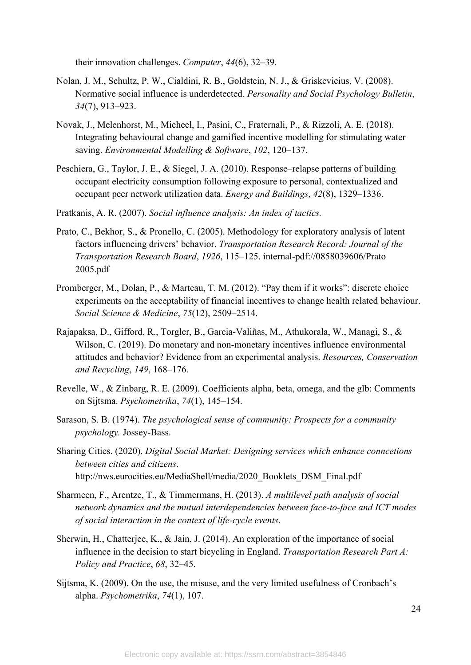their innovation challenges. *Computer*, *44*(6), 32–39.

- Nolan, J. M., Schultz, P. W., Cialdini, R. B., Goldstein, N. J., & Griskevicius, V. (2008). Normative social influence is underdetected. *Personality and Social Psychology Bulletin*, *34*(7), 913–923.
- Novak, J., Melenhorst, M., Micheel, I., Pasini, C., Fraternali, P., & Rizzoli, A. E. (2018). Integrating behavioural change and gamified incentive modelling for stimulating water saving. *Environmental Modelling & Software*, *102*, 120–137.
- Peschiera, G., Taylor, J. E., & Siegel, J. A. (2010). Response–relapse patterns of building occupant electricity consumption following exposure to personal, contextualized and occupant peer network utilization data. *Energy and Buildings*, *42*(8), 1329–1336.
- Pratkanis, A. R. (2007). *Social influence analysis: An index of tactics.*
- Prato, C., Bekhor, S., & Pronello, C. (2005). Methodology for exploratory analysis of latent factors influencing drivers' behavior. *Transportation Research Record: Journal of the Transportation Research Board*, *1926*, 115–125. internal-pdf://0858039606/Prato 2005.pdf
- Promberger, M., Dolan, P., & Marteau, T. M. (2012). "Pay them if it works": discrete choice experiments on the acceptability of financial incentives to change health related behaviour. *Social Science & Medicine*, *75*(12), 2509–2514.
- Rajapaksa, D., Gifford, R., Torgler, B., Garcia-Valiñas, M., Athukorala, W., Managi, S., & Wilson, C. (2019). Do monetary and non-monetary incentives influence environmental attitudes and behavior? Evidence from an experimental analysis. *Resources, Conservation and Recycling*, *149*, 168–176.
- Revelle, W., & Zinbarg, R. E. (2009). Coefficients alpha, beta, omega, and the glb: Comments on Sijtsma. *Psychometrika*, *74*(1), 145–154.
- Sarason, S. B. (1974). *The psychological sense of community: Prospects for a community psychology.* Jossey-Bass.
- Sharing Cities. (2020). *Digital Social Market: Designing services which enhance conncetions between cities and citizens*. http://nws.eurocities.eu/MediaShell/media/2020\_Booklets\_DSM\_Final.pdf
- Sharmeen, F., Arentze, T., & Timmermans, H. (2013). *A multilevel path analysis of social network dynamics and the mutual interdependencies between face-to-face and ICT modes of social interaction in the context of life-cycle events*.
- Sherwin, H., Chatterjee, K., & Jain, J. (2014). An exploration of the importance of social influence in the decision to start bicycling in England. *Transportation Research Part A: Policy and Practice*, *68*, 32–45.
- Sijtsma, K. (2009). On the use, the misuse, and the very limited usefulness of Cronbach's alpha. *Psychometrika*, *74*(1), 107.